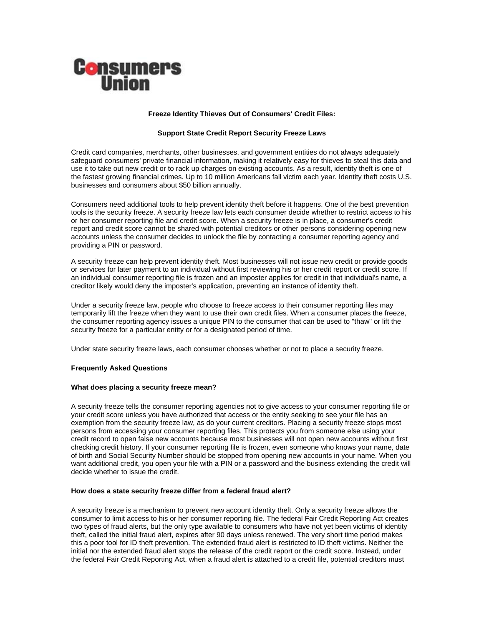

# **Freeze Identity Thieves Out of Consumers' Credit Files:**

# **Support State Credit Report Security Freeze Laws**

Credit card companies, merchants, other businesses, and government entities do not always adequately safeguard consumers' private financial information, making it relatively easy for thieves to steal this data and use it to take out new credit or to rack up charges on existing accounts. As a result, identity theft is one of the fastest growing financial crimes. Up to 10 million Americans fall victim each year. Identity theft costs U.S. businesses and consumers about \$50 billion annually.

Consumers need additional tools to help prevent identity theft before it happens. One of the best prevention tools is the security freeze. A security freeze law lets each consumer decide whether to restrict access to his or her consumer reporting file and credit score. When a security freeze is in place, a consumer's credit report and credit score cannot be shared with potential creditors or other persons considering opening new accounts unless the consumer decides to unlock the file by contacting a consumer reporting agency and providing a PIN or password.

A security freeze can help prevent identity theft. Most businesses will not issue new credit or provide goods or services for later payment to an individual without first reviewing his or her credit report or credit score. If an individual consumer reporting file is frozen and an imposter applies for credit in that individual's name, a creditor likely would deny the imposter's application, preventing an instance of identity theft.

Under a security freeze law, people who choose to freeze access to their consumer reporting files may temporarily lift the freeze when they want to use their own credit files. When a consumer places the freeze, the consumer reporting agency issues a unique PIN to the consumer that can be used to "thaw" or lift the security freeze for a particular entity or for a designated period of time.

Under state security freeze laws, each consumer chooses whether or not to place a security freeze.

## **Frequently Asked Questions**

## **What does placing a security freeze mean?**

A security freeze tells the consumer reporting agencies not to give access to your consumer reporting file or your credit score unless you have authorized that access or the entity seeking to see your file has an exemption from the security freeze law, as do your current creditors. Placing a security freeze stops most persons from accessing your consumer reporting files. This protects you from someone else using your credit record to open false new accounts because most businesses will not open new accounts without first checking credit history. If your consumer reporting file is frozen, even someone who knows your name, date of birth and Social Security Number should be stopped from opening new accounts in your name. When you want additional credit, you open your file with a PIN or a password and the business extending the credit will decide whether to issue the credit.

## **How does a state security freeze differ from a federal fraud alert?**

A security freeze is a mechanism to prevent new account identity theft. Only a security freeze allows the consumer to limit access to his or her consumer reporting file. The federal Fair Credit Reporting Act creates two types of fraud alerts, but the only type available to consumers who have not yet been victims of identity theft, called the initial fraud alert, expires after 90 days unless renewed. The very short time period makes this a poor tool for ID theft prevention. The extended fraud alert is restricted to ID theft victims. Neither the initial nor the extended fraud alert stops the release of the credit report or the credit score. Instead, under the federal Fair Credit Reporting Act, when a fraud alert is attached to a credit file, potential creditors must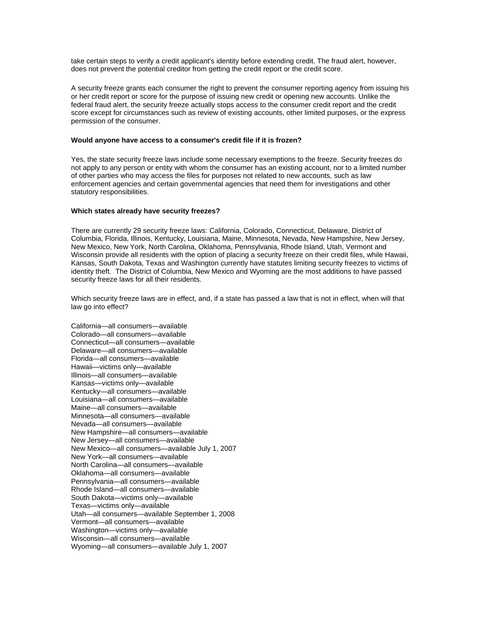take certain steps to verify a credit applicant's identity before extending credit. The fraud alert, however, does not prevent the potential creditor from getting the credit report or the credit score.

A security freeze grants each consumer the right to prevent the consumer reporting agency from issuing his or her credit report or score for the purpose of issuing new credit or opening new accounts. Unlike the federal fraud alert, the security freeze actually stops access to the consumer credit report and the credit score except for circumstances such as review of existing accounts, other limited purposes, or the express permission of the consumer.

# **Would anyone have access to a consumer's credit file if it is frozen?**

Yes, the state security freeze laws include some necessary exemptions to the freeze. Security freezes do not apply to any person or entity with whom the consumer has an existing account, nor to a limited number of other parties who may access the files for purposes not related to new accounts, such as law enforcement agencies and certain governmental agencies that need them for investigations and other statutory responsibilities.

#### **Which states already have security freezes?**

There are currently 29 security freeze laws: California, Colorado, Connecticut, Delaware, District of Columbia, Florida, Illinois, Kentucky, Louisiana, Maine, Minnesota, Nevada, New Hampshire, New Jersey, New Mexico, New York, North Carolina, Oklahoma, Pennsylvania, Rhode Island, Utah, Vermont and Wisconsin provide all residents with the option of placing a security freeze on their credit files, while Hawaii, Kansas, South Dakota, Texas and Washington currently have statutes limiting security freezes to victims of identity theft. The District of Columbia, New Mexico and Wyoming are the most additions to have passed security freeze laws for all their residents.

Which security freeze laws are in effect, and, if a state has passed a law that is not in effect, when will that law go into effect?

California—all consumers—available Colorado—all consumers—available Connecticut—all consumers—available Delaware—all consumers—available Florida—all consumers—available Hawaii—victims only—available Illinois—all consumers—available Kansas—victims only—available Kentucky—all consumers—available Louisiana—all consumers—available Maine—all consumers—available Minnesota—all consumers—available Nevada—all consumers—available New Hampshire—all consumers—available New Jersey—all consumers—available New Mexico—all consumers—available July 1, 2007 New York—all consumers—available North Carolina—all consumers—available Oklahoma—all consumers—available Pennsylvania—all consumers—available Rhode Island—all consumers—available South Dakota—victims only—available Texas—victims only—available Utah—all consumers—available September 1, 2008 Vermont—all consumers—available Washington—victims only—available Wisconsin—all consumers—available Wyoming—all consumers—available July 1, 2007